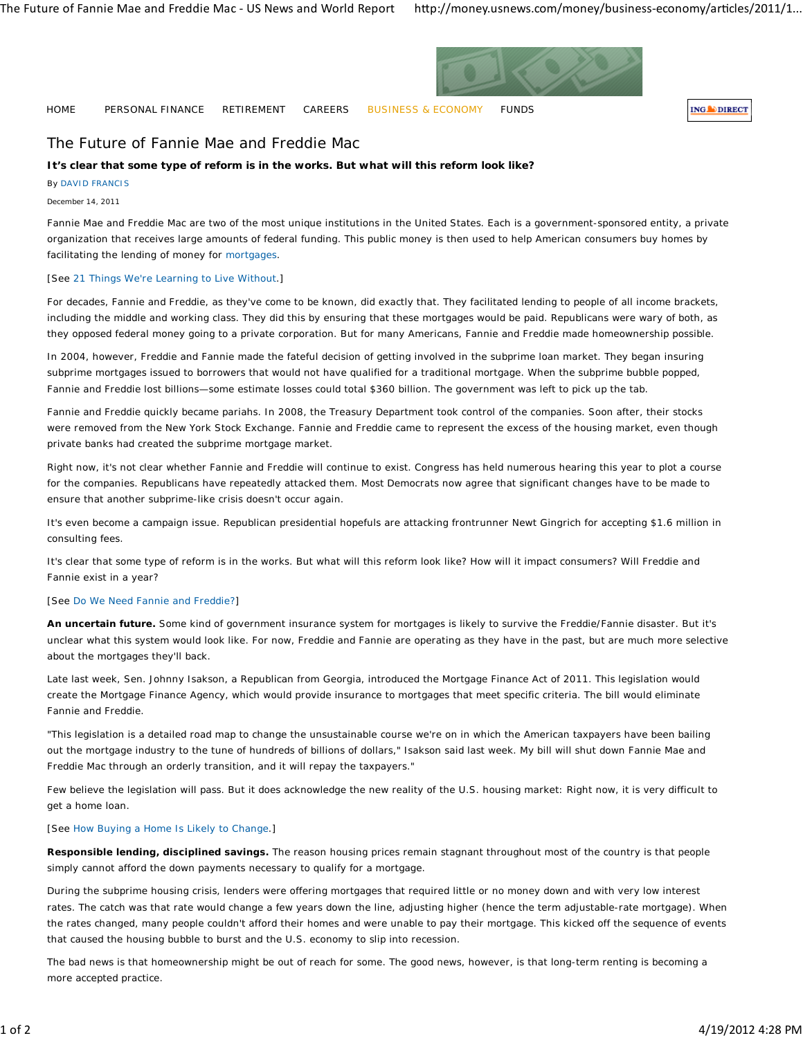

HOME PERSONAL FINANCE RETIREMENT CAREERS BUSINESS & ECONOMY FUNDS

**ING** DIRECT

# The Future of Fannie Mae and Freddie Mac

## **It's clear that some type of reform is in the works. But what will this reform look like?**

By DAVID FRANCIS

December 14, 2011

Fannie Mae and Freddie Mac are two of the most unique institutions in the United States. Each is a government-sponsored entity, a private organization that receives large amounts of federal funding. This public money is then used to help American consumers buy homes by facilitating the lending of money for mortgages.

## [See 21 Things We're Learning to Live Without.]

For decades, Fannie and Freddie, as they've come to be known, did exactly that. They facilitated lending to people of all income brackets, including the middle and working class. They did this by ensuring that these mortgages would be paid. Republicans were wary of both, as they opposed federal money going to a private corporation. But for many Americans, Fannie and Freddie made homeownership possible.

In 2004, however, Freddie and Fannie made the fateful decision of getting involved in the subprime loan market. They began insuring subprime mortgages issued to borrowers that would not have qualified for a traditional mortgage. When the subprime bubble popped, Fannie and Freddie lost billions—some estimate losses could total \$360 billion. The government was left to pick up the tab.

Fannie and Freddie quickly became pariahs. In 2008, the Treasury Department took control of the companies. Soon after, their stocks were removed from the New York Stock Exchange. Fannie and Freddie came to represent the excess of the housing market, even though private banks had created the subprime mortgage market.

Right now, it's not clear whether Fannie and Freddie will continue to exist. Congress has held numerous hearing this year to plot a course for the companies. Republicans have repeatedly attacked them. Most Democrats now agree that significant changes have to be made to ensure that another subprime-like crisis doesn't occur again.

It's even become a campaign issue. Republican presidential hopefuls are attacking frontrunner Newt Gingrich for accepting \$1.6 million in consulting fees.

It's clear that some type of reform is in the works. But what will this reform look like? How will it impact consumers? Will Freddie and Fannie exist in a year?

#### [See Do We Need Fannie and Freddie?]

**An uncertain future.** Some kind of government insurance system for mortgages is likely to survive the Freddie/Fannie disaster. But it's unclear what this system would look like. For now, Freddie and Fannie are operating as they have in the past, but are much more selective about the mortgages they'll back.

Late last week, Sen. Johnny Isakson, a Republican from Georgia, introduced the Mortgage Finance Act of 2011. This legislation would create the Mortgage Finance Agency, which would provide insurance to mortgages that meet specific criteria. The bill would eliminate Fannie and Freddie.

"This legislation is a detailed road map to change the unsustainable course we're on in which the American taxpayers have been bailing out the mortgage industry to the tune of hundreds of billions of dollars," Isakson said last week. My bill will shut down Fannie Mae and Freddie Mac through an orderly transition, and it will repay the taxpayers."

Few believe the legislation will pass. But it does acknowledge the new reality of the U.S. housing market: Right now, it is very difficult to get a home loan.

## [See How Buying a Home Is Likely to Change.]

**Responsible lending, disciplined savings.** The reason housing prices remain stagnant throughout most of the country is that people simply cannot afford the down payments necessary to qualify for a mortgage.

During the subprime housing crisis, lenders were offering mortgages that required little or no money down and with very low interest rates. The catch was that rate would change a few years down the line, adjusting higher (hence the term adjustable-rate mortgage). When the rates changed, many people couldn't afford their homes and were unable to pay their mortgage. This kicked off the sequence of events that caused the housing bubble to burst and the U.S. economy to slip into recession.

The bad news is that homeownership might be out of reach for some. The good news, however, is that long-term renting is becoming a more accepted practice.